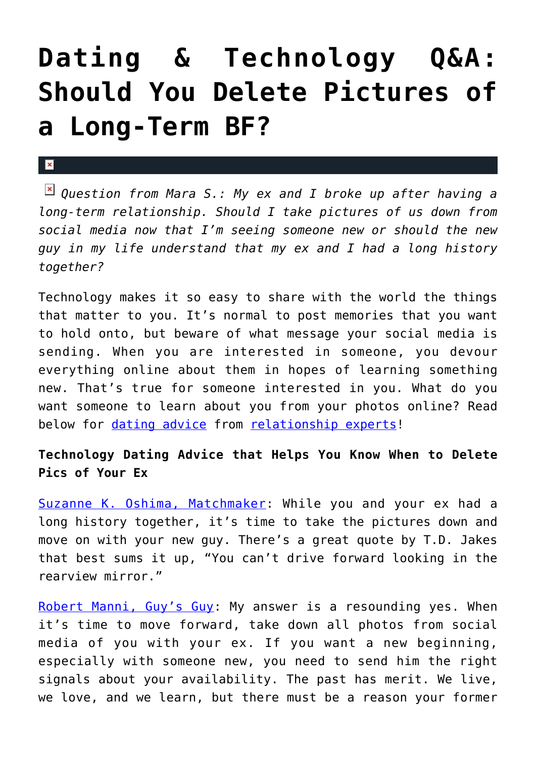## **[Dating & Technology Q&A:](https://cupidspulse.com/125428/dating-technology-qa-delete-pictures-long-term-ex/) [Should You Delete Pictures of](https://cupidspulse.com/125428/dating-technology-qa-delete-pictures-long-term-ex/) [a Long-Term BF?](https://cupidspulse.com/125428/dating-technology-qa-delete-pictures-long-term-ex/)**

## $\mathbf{R}$

*Question from Mara S.: My ex and I broke up after having a long-term relationship. Should I take pictures of us down from social media now that I'm seeing someone new or should the new guy in my life understand that my ex and I had a long history together?*

Technology makes it so easy to share with the world the things that matter to you. It's normal to post memories that you want to hold onto, but beware of what message your social media is sending. When you are interested in someone, you devour everything online about them in hopes of learning something new. That's true for someone interested in you. What do you want someone to learn about you from your photos online? Read below for [dating advice](http://cupidspulse.com/videos/dating-advice-videos/) from [relationship experts!](http://cupidspulse.com/relationship-experts/)

## **Technology Dating Advice that Helps You Know When to Delete Pics of Your Ex**

[Suzanne K. Oshima, Matchmaker:](http://www.dreambachelor.com/) While you and your ex had a long history together, it's time to take the pictures down and move on with your new guy. There's a great quote by T.D. Jakes that best sums it up, "You can't drive forward looking in the rearview mirror."

[Robert Manni, Guy's Guy:](http://www.robertmanni.com/) My answer is a resounding yes. When it's time to move forward, take down all photos from social media of you with your ex. If you want a new beginning, especially with someone new, you need to send him the right signals about your availability. The past has merit. We live, we love, and we learn, but there must be a reason your former